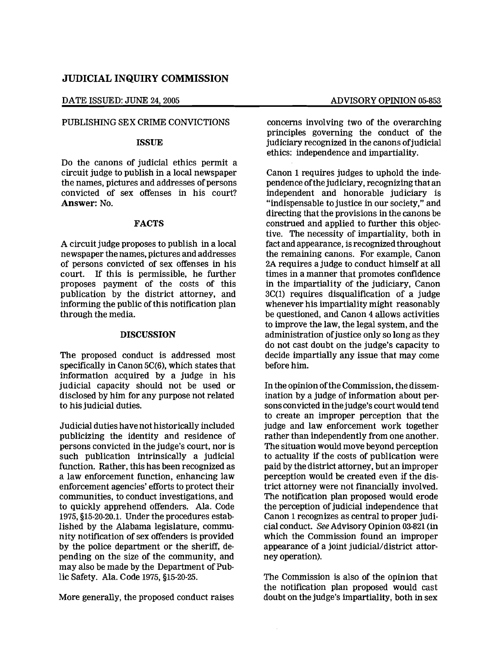# JUDICIAL INQUIRY COMMISSION

DATE ISSUED: JUNE 24, 2005 ADVISORY OPINION 05-853

## PUBLISHING SEX CRIME CONVICTIONS

## ISSUE

Do the canons of judicial ethics permit a circuit judge to publish in a local newspaper the names, pictures and addresses of persons convicted of sex offenses in his court? Answer: No.

## FACTS

A circuit judge proposes to publish in a local newspaper the names, pictures and addresses of persons convicted of sex offenses in his court. If this is permissible, he further proposes payment of the costs of this publication by the district attorney, and informing the public of this notification plan through the media.

## DISCUSSION

The proposed conduct is addressed most specifically in Canon 5C(6), which states that information acquired by a judge in his judicial capacity should not be used or disclosed by him for any purpose not related to his judicial duties.

Judicial duties have not historically included publicizing the identity and residence of persons convicted in the judge's court, nor is such publication intrinsically a judicial function. Rather, this has been recognized as a law enforcement function, enhancing law enforcement agencies' efforts to protect their communities, to conduct investigations, and to quickly apprehend offenders. Ala. Code 1975, §15-20-20.1. Under the procedures established by the Alabama legislature, community notification of sex offenders is provided by the police department or the sheriff, depending on the size of the community, and may also be made by the Department of Public Safety. Ala. Code 1975, §15-20-25.

More generally, the proposed conduct raises

concerns involving two of the overarching principles governing the conduct of the judiciary recognized in the canons of judicial ethics: independence and impartiality.

Canon 1 requires judges to uphold the independence ofthe judiciary, recognizing that an independent and honorable judiciary is "indispensable to justice in our society," and directing that the provisions in the canons be construed and applied to further this objective. The necessity of impartiality, both in fact and appearance, is recognized throughout the remaining canons. For example, Canon 2A requires a judge to conduct himself at all times in a manner that promotes confidence in the impartiality of the judiciary, Canon 3C(1) requires disqualification of a judge whenever his impartiality might reasonably be questioned, and Canon 4 allows activities to improve the law, the legal system, and the administration of justice only so long as they do not cast doubt on the judge's capacity to decide impartially any issue that may come before him.

In the opinion of the Commission, the dissemination by a judge of information about persons convicted in thejudge's court would tend to create an improper perception that the judge and law enforcement work together rather than independently from one another. The situation would move beyond perception to actuality if the costs of publication were paid by the district attorney, but an improper perception would be created even if the district attorney were not financially involved. The notification plan proposed would erode the perception of judicial independence that Canon 1 recognizes as central to proper judicial conduct. See Advisory Opinion 03-821 (in which the Commission found an improper appearance of a joint judicial/district attorney operation).

The Commission is also of the opinion that the notification plan proposed would cast doubt on the judge's impartiality, both in sex